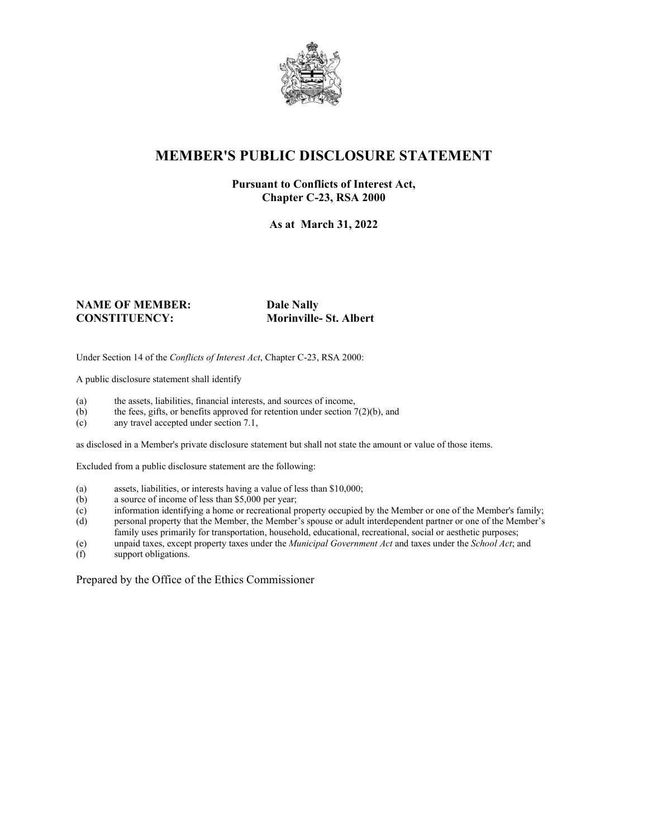

## **MEMBER'S PUBLIC DISCLOSURE STATEMENT**

#### **Pursuant to Conflicts of Interest Act, Chapter C-23, RSA 2000**

**As at March 31, 2022**

#### **NAME OF MEMBER: Dale Nally CONSTITUENCY: Morinville- St. Albert**

Under Section 14 of the *Conflicts of Interest Act*, Chapter C-23, RSA 2000:

A public disclosure statement shall identify

- (a) the assets, liabilities, financial interests, and sources of income,  $(b)$  the fees, gifts, or benefits approved for retention under section 7
- the fees, gifts, or benefits approved for retention under section  $7(2)(b)$ , and
- (c) any travel accepted under section 7.1,

as disclosed in a Member's private disclosure statement but shall not state the amount or value of those items.

Excluded from a public disclosure statement are the following:

- (a) assets, liabilities, or interests having a value of less than \$10,000;
- (b) a source of income of less than \$5,000 per year;
- (c) information identifying a home or recreational property occupied by the Member or one of the Member's family;
- (d) personal property that the Member, the Member's spouse or adult interdependent partner or one of the Member's family uses primarily for transportation, household, educational, recreational, social or aesthetic purposes;
- (e) unpaid taxes, except property taxes under the *Municipal Government Act* and taxes under the *School Act*; and
- (f) support obligations.

Prepared by the Office of the Ethics Commissioner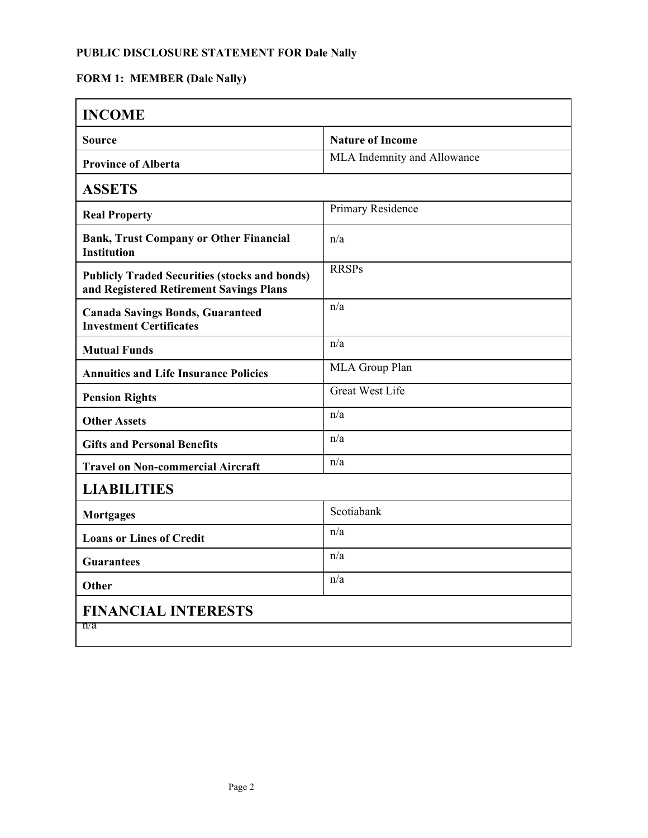## **PUBLIC DISCLOSURE STATEMENT FOR Dale Nally**

# **FORM 1: MEMBER (Dale Nally)**

| <b>INCOME</b>                                                                                   |                             |
|-------------------------------------------------------------------------------------------------|-----------------------------|
| <b>Source</b>                                                                                   | <b>Nature of Income</b>     |
| <b>Province of Alberta</b>                                                                      | MLA Indemnity and Allowance |
| <b>ASSETS</b>                                                                                   |                             |
| <b>Real Property</b>                                                                            | Primary Residence           |
| <b>Bank, Trust Company or Other Financial</b><br><b>Institution</b>                             | n/a                         |
| <b>Publicly Traded Securities (stocks and bonds)</b><br>and Registered Retirement Savings Plans | <b>RRSPs</b>                |
| <b>Canada Savings Bonds, Guaranteed</b><br><b>Investment Certificates</b>                       | n/a                         |
| <b>Mutual Funds</b>                                                                             | n/a                         |
| <b>Annuities and Life Insurance Policies</b>                                                    | MLA Group Plan              |
| <b>Pension Rights</b>                                                                           | <b>Great West Life</b>      |
| <b>Other Assets</b>                                                                             | n/a                         |
| <b>Gifts and Personal Benefits</b>                                                              | n/a                         |
| <b>Travel on Non-commercial Aircraft</b>                                                        | n/a                         |
| <b>LIABILITIES</b>                                                                              |                             |
| <b>Mortgages</b>                                                                                | Scotiabank                  |
| <b>Loans or Lines of Credit</b>                                                                 | n/a                         |
| <b>Guarantees</b>                                                                               | n/a                         |
| <b>Other</b>                                                                                    | n/a                         |
| <b>FINANCIAL INTERESTS</b><br>n/a                                                               |                             |